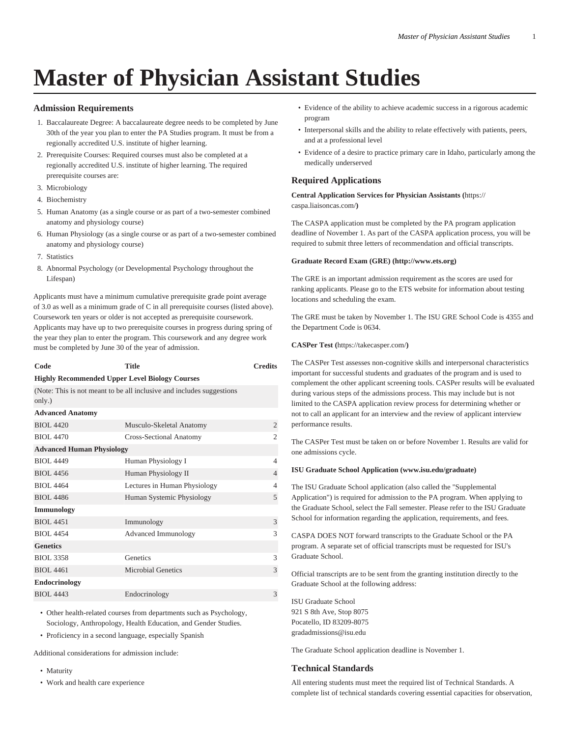# **Master of Physician Assistant Studies**

## **Admission Requirements**

- 1. Baccalaureate Degree: A baccalaureate degree needs to be completed by June 30th of the year you plan to enter the PA Studies program. It must be from a regionally accredited U.S. institute of higher learning.
- 2. Prerequisite Courses: Required courses must also be completed at a regionally accredited U.S. institute of higher learning. The required prerequisite courses are:
- 3. Microbiology
- 4. Biochemistry
- 5. Human Anatomy (as a single course or as part of a two-semester combined anatomy and physiology course)
- 6. Human Physiology (as a single course or as part of a two-semester combined anatomy and physiology course)
- 7. Statistics
- 8. Abnormal Psychology (or Developmental Psychology throughout the Lifespan)

Applicants must have a minimum cumulative prerequisite grade point average of 3.0 as well as a minimum grade of C in all prerequisite courses (listed above). Coursework ten years or older is not accepted as prerequisite coursework. Applicants may have up to two prerequisite courses in progress during spring of the year they plan to enter the program. This coursework and any degree work must be completed by June 30 of the year of admission.

| Code | Title                                                 | <b>Credits</b> |
|------|-------------------------------------------------------|----------------|
|      | <b>Highly Recommended Upper Level Biology Courses</b> |                |

(Note: This is not meant to be all inclusive and includes suggestions only.)

| $\sigma$ <sub>111</sub> $\gamma$ . $\gamma$ |                              |                |
|---------------------------------------------|------------------------------|----------------|
| <b>Advanced Anatomy</b>                     |                              |                |
| <b>BIOL 4420</b>                            | Musculo-Skeletal Anatomy     | $\overline{2}$ |
| <b>BIOL 4470</b>                            | Cross-Sectional Anatomy      | $\mathfrak{D}$ |
| <b>Advanced Human Physiology</b>            |                              |                |
| <b>BIOL 4449</b>                            | Human Physiology I           | 4              |
| <b>BIOL 4456</b>                            | Human Physiology II          | 4              |
| <b>BIOL 4464</b>                            | Lectures in Human Physiology | 4              |
| <b>BIOL 4486</b>                            | Human Systemic Physiology    | 5              |
| <b>Immunology</b>                           |                              |                |
| <b>BIOL 4451</b>                            | Immunology                   | 3              |
| <b>BIOL 4454</b>                            | Advanced Immunology          | 3              |
| <b>Genetics</b>                             |                              |                |
| <b>BIOL 3358</b>                            | Genetics                     | 3              |
| <b>BIOL 4461</b>                            | <b>Microbial Genetics</b>    | 3              |
| <b>Endocrinology</b>                        |                              |                |
| <b>BIOL 4443</b>                            | Endocrinology                | 3              |

• Other health-related courses from departments such as Psychology, Sociology, Anthropology, Health Education, and Gender Studies.

• Proficiency in a second language, especially Spanish

Additional considerations for admission include:

- Maturity
- Work and health care experience
- Evidence of the ability to achieve academic success in a rigorous academic program
- Interpersonal skills and the ability to relate effectively with patients, peers, and at a professional level
- Evidence of a desire to practice primary care in Idaho, particularly among the medically underserved

# **Required Applications**

**Central Application Services for Physician Assistants (**[https://](https://caspa.liaisoncas.com/) [caspa.liaisoncas.com/](https://caspa.liaisoncas.com/)**)**

The CASPA application must be completed by the PA program application deadline of November 1. As part of the CASPA application process, you will be required to submit three letters of recommendation and official transcripts.

#### **Graduate Record Exam (GRE) (http://www.ets.org)**

The GRE is an important admission requirement as the scores are used for ranking applicants. Please go to the ETS website for information about testing locations and scheduling the exam.

The GRE must be taken by November 1. The ISU GRE School Code is 4355 and the Department Code is 0634.

**CASPer Test (**<https://takecasper.com/>**)**

The CASPer Test assesses non-cognitive skills and interpersonal characteristics important for successful students and graduates of the program and is used to complement the other applicant screening tools. CASPer results will be evaluated during various steps of the admissions process. This may include but is not limited to the CASPA application review process for determining whether or not to call an applicant for an interview and the review of applicant interview performance results.

The CASPer Test must be taken on or before November 1. Results are valid for one admissions cycle.

#### **ISU Graduate School Application (www.isu.edu/graduate)**

The ISU Graduate School application (also called the "Supplemental Application") is required for admission to the PA program. When applying to the Graduate School, select the Fall semester. Please refer to the ISU Graduate School for information regarding the application, requirements, and fees.

CASPA DOES NOT forward transcripts to the Graduate School or the PA program. A separate set of official transcripts must be requested for ISU's Graduate School.

Official transcripts are to be sent from the granting institution directly to the Graduate School at the following address:

ISU Graduate School 921 S 8th Ave, Stop 8075 Pocatello, ID 83209-8075 gradadmissions@isu.edu

The Graduate School application deadline is November 1.

# **Technical Standards**

All entering students must meet the required list of Technical Standards. A complete list of technical standards covering essential capacities for observation,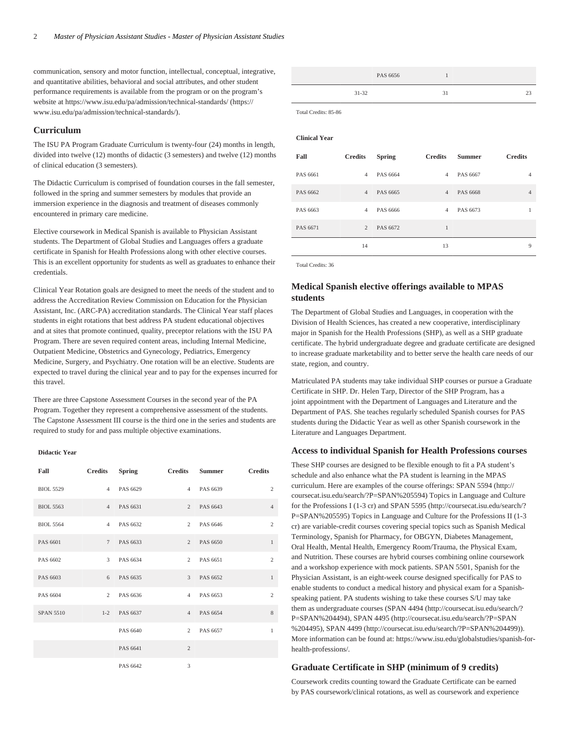communication, sensory and motor function, intellectual, conceptual, integrative, and quantitative abilities, behavioral and social attributes, and other student performance requirements is available from the program or on the program's website a[t https://www.isu.edu/pa/admission/technical-standards/](https://www.isu.edu/pa/admission/technical-standards/) ([https://](https://www.isu.edu/pa/admission/technical-standards/) [www.isu.edu/pa/admission/technical-standards/\)](https://www.isu.edu/pa/admission/technical-standards/).

#### **Curriculum**

The ISU PA Program Graduate Curriculum is twenty-four (24) months in length, divided into twelve (12) months of didactic (3 semesters) and twelve (12) months of clinical education (3 semesters).

The Didactic Curriculum is comprised of foundation courses in the fall semester, followed in the spring and summer semesters by modules that provide an immersion experience in the diagnosis and treatment of diseases commonly encountered in primary care medicine.

Elective coursework in Medical Spanish is available to Physician Assistant students. The Department of Global Studies and Languages offers a graduate certificate in Spanish for Health Professions along with other elective courses. This is an excellent opportunity for students as well as graduates to enhance their credentials.

Clinical Year Rotation goals are designed to meet the needs of the student and to address the Accreditation Review Commission on Education for the Physician Assistant, Inc. (ARC-PA) accreditation standards. The Clinical Year staff places students in eight rotations that best address PA student educational objectives and at sites that promote continued, quality, preceptor relations with the ISU PA Program. There are seven required content areas, including Internal Medicine, Outpatient Medicine, Obstetrics and Gynecology, Pediatrics, Emergency Medicine, Surgery, and Psychiatry. One rotation will be an elective. Students are expected to travel during the clinical year and to pay for the expenses incurred for this travel.

There are three Capstone Assessment Courses in the second year of the PA Program. Together they represent a comprehensive assessment of the students. The Capstone Assessment III course is the third one in the series and students are required to study for and pass multiple objective examinations.

### **Didactic Year**

| <b>Fall</b>      | Credits Spring |                | Credits Summer Credits |                |
|------------------|----------------|----------------|------------------------|----------------|
| <b>BIOL 5529</b> | 4 PAS 6629     |                | 4 PAS 6639             | $\overline{c}$ |
| <b>BIOL 5563</b> | 4 PAS 6631     |                | 2 PAS 6643             | $\overline{4}$ |
| <b>BIOL 5564</b> | 4 PAS 6632     |                | 2 PAS 6646             | $\mathfrak{2}$ |
| PAS 6601         | 7 PAS 6633     |                | 2 PAS 6650             | $\mathbf{1}$   |
| PAS 6602         | 3 PAS 6634     |                | 2 PAS 6651             | $\overline{c}$ |
| PAS 6603         | 6 PAS 6635     |                | 3 PAS 6652             | $\mathbf{1}$   |
| PAS 6604         | 2 PAS 6636     |                | 4 PAS 6653             | $\overline{c}$ |
| <b>SPAN 5510</b> | 1-2 PAS 6637   | $\overline{4}$ | PAS 6654               | 8              |
|                  | PAS 6640       |                | 2 PAS 6657             | $\mathbf{1}$   |
|                  | PAS 6641       | $\overline{c}$ |                        |                |
|                  | PAS 6642       | 3              |                        |                |

|           | PAS 6656 |    |  |
|-----------|----------|----|--|
| $31 - 32$ |          | 31 |  |

Total Credits: 85-86

#### **Clinical Year**

| Fall     | <b>Credits</b> | <b>Spring</b> | <b>Credits</b> | <b>Summer</b> | <b>Credits</b> |
|----------|----------------|---------------|----------------|---------------|----------------|
| PAS 6661 | $\overline{4}$ | PAS 6664      | $\overline{4}$ | PAS 6667      | $\overline{4}$ |
| PAS 6662 | $\overline{4}$ | PAS 6665      | $\overline{4}$ | PAS 6668      | $\overline{4}$ |
| PAS 6663 | $\overline{4}$ | PAS 6666      | $\overline{4}$ | PAS 6673      | 1              |
| PAS 6671 | $\overline{2}$ | PAS 6672      | 1              |               |                |
|          | 14             |               | 13             |               | 9              |

Total Credits: 36

# **Medical Spanish elective offerings available to MPAS students**

The Department of Global Studies and Languages, in cooperation with the Division of Health Sciences, has created a new cooperative, interdisciplinary major in Spanish for the Health Professions (SHP), as well as a SHP graduate certificate. The hybrid undergraduate degree and graduate certificate are designed to increase graduate marketability and to better serve the health care needs of our state, region, and country.

Matriculated PA students may take individual SHP courses or pursue a Graduate Certificate in SHP. Dr. Helen Tarp, Director of the SHP Program, has a joint appointment with the Department of Languages and Literature and the Department of PAS. She teaches regularly scheduled Spanish courses for PAS students during the Didactic Year as well as other Spanish coursework in the Literature and Languages Department.

## **Access to individual Spanish for Health Professions courses**

These SHP courses are designed to be flexible enough to fit a PA student's schedule and also enhance what the PA student is learning in the MPAS curriculum. Here are examples of the course offerings: [SPAN 5594 \(http://](http://coursecat.isu.edu/search/?P=SPAN%205594) [coursecat.isu.edu/search/?P=SPAN%205594\)](http://coursecat.isu.edu/search/?P=SPAN%205594) Topics in Language and Culture for the Professions I (1-3 cr) and [SPAN 5595](http://coursecat.isu.edu/search/?P=SPAN%205595) ([http://coursecat.isu.edu/search/?](http://coursecat.isu.edu/search/?P=SPAN%205595) [P=SPAN%205595](http://coursecat.isu.edu/search/?P=SPAN%205595)) Topics in Language and Culture for the Professions II (1-3 cr) are variable-credit courses covering special topics such as Spanish Medical Terminology, Spanish for Pharmacy, for OBGYN, Diabetes Management, Oral Health, Mental Health, Emergency Room/Trauma, the Physical Exam, and Nutrition. These courses are hybrid courses combining online coursework and a workshop experience with mock patients. SPAN 5501, Spanish for the Physician Assistant, is an eight-week course designed specifically for PAS to enable students to conduct a medical history and physical exam for a Spanishspeaking patient. PA students wishing to take these courses S/U may take them as undergraduate courses [\(SPAN 4494 \(http://coursecat.isu.edu/search/?](http://coursecat.isu.edu/search/?P=SPAN%204494) [P=SPAN%204494](http://coursecat.isu.edu/search/?P=SPAN%204494)), [SPAN 4495](http://coursecat.isu.edu/search/?P=SPAN%204495) [\(http://coursecat.isu.edu/search/?P=SPAN](http://coursecat.isu.edu/search/?P=SPAN%204495) [%204495\)](http://coursecat.isu.edu/search/?P=SPAN%204495), [SPAN 4499](http://coursecat.isu.edu/search/?P=SPAN%204499) (<http://coursecat.isu.edu/search/?P=SPAN%204499>)). More information can be found at: [https://www.isu.edu/globalstudies/spanish-for](https://www.isu.edu/globalstudies/spanish-for-health-professions/)[health-professions/](https://www.isu.edu/globalstudies/spanish-for-health-professions/).

#### **Graduate Certificate in SHP (minimum of 9 credits)**

Coursework credits counting toward the Graduate Certificate can be earned by PAS coursework/clinical rotations, as well as coursework and experience